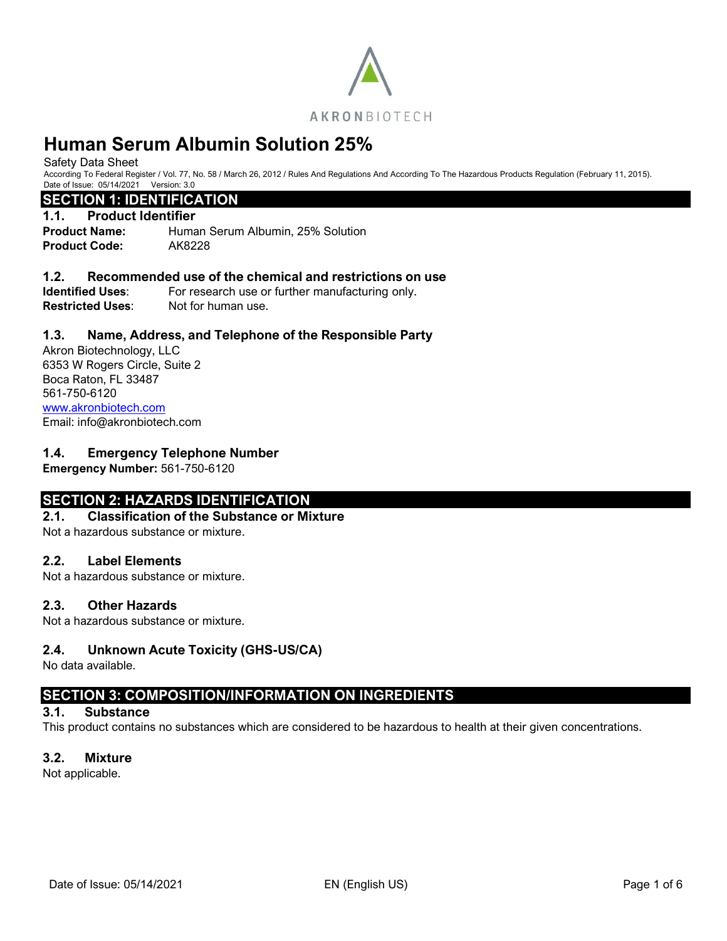

Safety Data Sheet

According To Federal Register / Vol. 77, No. 58 / March 26, 2012 / Rules And Regulations And According To The Hazardous Products Regulation (February 11, 2015). Date of Issue: 05/14/2021 Version: 3.0

# **SECTION 1: IDENTIFICATION**

### **1.1. Product Identifier**

**Product Name:** Human Serum Albumin, 25% Solution **Product Code:** AK8228

#### **1.2. Recommended use of the chemical and restrictions on use**

**Identified Uses:** For research use or further manufacturing only. **Restricted Uses:** Not for human use.

# **1.3. Name, Address, and Telephone of the Responsible Party**

Akron Biotechnology, LLC 6353 W Rogers Circle, Suite 2 Boca Raton, FL 33487 561-750-6120 [www.akronbiotech.com](http://www.akronbiotech.com/%3c/a) Email: info@akronbiotech.com

# **1.4. Emergency Telephone Number**

**Emergency Number:** 561-750-6120

# **SECTION 2: HAZARDS IDENTIFICATION**

#### **2.1. Classification of the Substance or Mixture**

Not a hazardous substance or mixture.

### **2.2. Label Elements**

Not a hazardous substance or mixture.

### **2.3. Other Hazards**

Not a hazardous substance or mixture.

### **2.4. Unknown Acute Toxicity (GHS-US/CA)**

No data available.

# **SECTION 3: COMPOSITION/INFORMATION ON INGREDIENTS**

### **3.1. Substance**

This product contains no substances which are considered to be hazardous to health at their given concentrations.

# **3.2. Mixture**

Not applicable.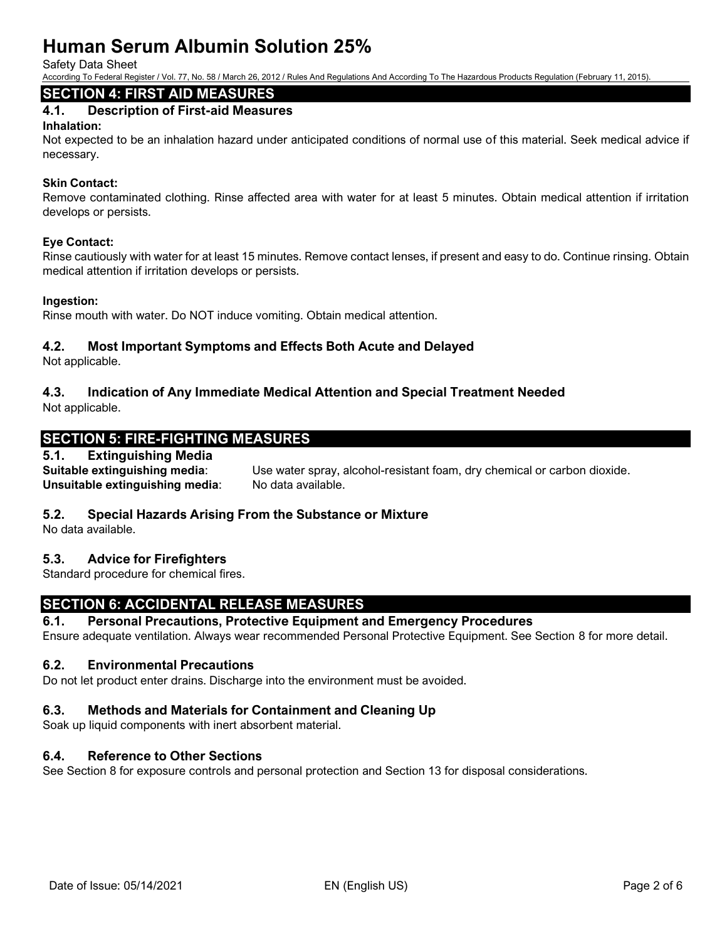Safety Data Sheet

According To Federal Register / Vol. 77, No. 58 / March 26, 2012 / Rules And Regulations And According To The Hazardous Products Regulation (February 11, 2015).

# **SECTION 4: FIRST AID MEASURES**

# **4.1. Description of First-aid Measures**

### **Inhalation:**

Not expected to be an inhalation hazard under anticipated conditions of normal use of this material. Seek medical advice if necessary.

# **Skin Contact:**

Remove contaminated clothing. Rinse affected area with water for at least 5 minutes. Obtain medical attention if irritation develops or persists.

# **Eye Contact:**

Rinse cautiously with water for at least 15 minutes. Remove contact lenses, if present and easy to do. Continue rinsing. Obtain medical attention if irritation develops or persists.

# **Ingestion:**

Rinse mouth with water. Do NOT induce vomiting. Obtain medical attention.

# **4.2. Most Important Symptoms and Effects Both Acute and Delayed**

Not applicable.

# **4.3. Indication of Any Immediate Medical Attention and Special Treatment Needed**

Not applicable.

# **SECTION 5: FIRE-FIGHTING MEASURES**

# **5.1. Extinguishing Media**

**Suitable extinguishing media**: Use water spray, alcohol-resistant foam, dry chemical or carbon dioxide. **Unsuitable extinguishing media:** No data available.

# **5.2. Special Hazards Arising From the Substance or Mixture**

No data available.

# **5.3. Advice for Firefighters**

Standard procedure for chemical fires.

# **SECTION 6: ACCIDENTAL RELEASE MEASURES**

#### **6.1. Personal Precautions, Protective Equipment and Emergency Procedures** Ensure adequate ventilation. Always wear recommended Personal Protective Equipment. See Section 8 for more detail.

# **6.2. Environmental Precautions**

Do not let product enter drains. Discharge into the environment must be avoided.

# **6.3. Methods and Materials for Containment and Cleaning Up**

Soak up liquid components with inert absorbent material.

# **6.4. Reference to Other Sections**

See Section 8 for exposure controls and personal protection and Section 13 for disposal considerations.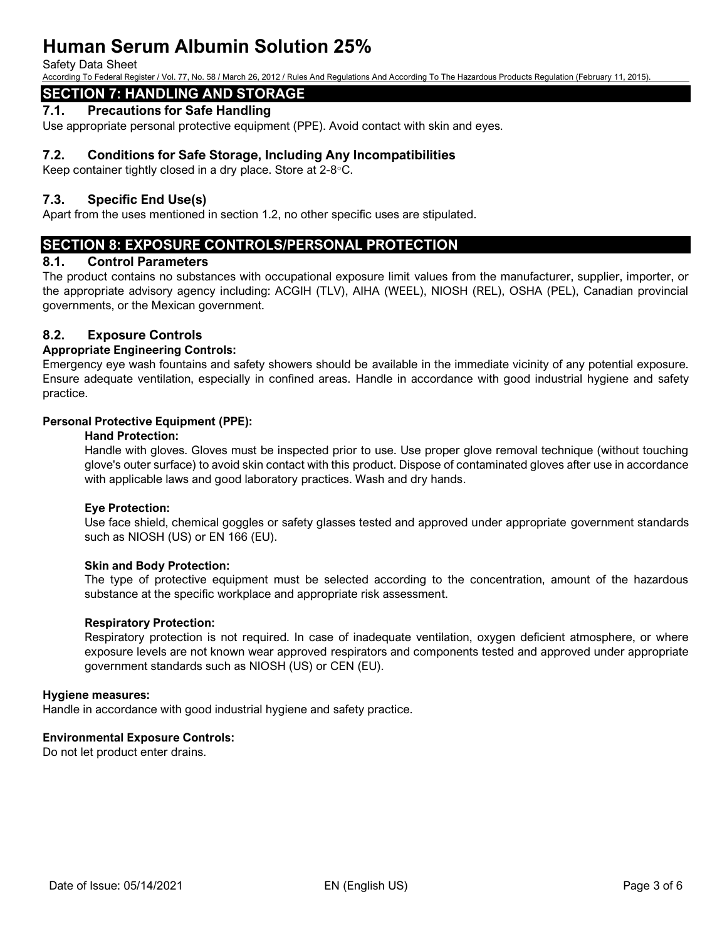#### Safety Data Sheet

According To Federal Register / Vol. 77, No. 58 / March 26, 2012 / Rules And Regulations And According To The Hazardous Products Regulation (February 11, 2015).

# **SECTION 7: HANDLING AND STORAGE**

# **7.1. Precautions for Safe Handling**

Use appropriate personal protective equipment (PPE). Avoid contact with skin and eyes.

# **7.2. Conditions for Safe Storage, Including Any Incompatibilities**

Keep container tightly closed in a dry place. Store at 2-8°C.

# **7.3. Specific End Use(s)**

Apart from the uses mentioned in section 1.2, no other specific uses are stipulated.

# **SECTION 8: EXPOSURE CONTROLS/PERSONAL PROTECTION**

#### **8.1. Control Parameters**

The product contains no substances with occupational exposure limit values from the manufacturer, supplier, importer, or the appropriate advisory agency including: ACGIH (TLV), AIHA (WEEL), NIOSH (REL), OSHA (PEL), Canadian provincial governments, or the Mexican government.

# **8.2. Exposure Controls**

#### **Appropriate Engineering Controls:**

Emergency eye wash fountains and safety showers should be available in the immediate vicinity of any potential exposure. Ensure adequate ventilation, especially in confined areas. Handle in accordance with good industrial hygiene and safety practice.

#### **Personal Protective Equipment (PPE):**

#### **Hand Protection:**

Handle with gloves. Gloves must be inspected prior to use. Use proper glove removal technique (without touching glove's outer surface) to avoid skin contact with this product. Dispose of contaminated gloves after use in accordance with applicable laws and good laboratory practices. Wash and dry hands.

#### **Eye Protection:**

Use face shield, chemical goggles or safety glasses tested and approved under appropriate government standards such as NIOSH (US) or EN 166 (EU).

#### **Skin and Body Protection:**

The type of protective equipment must be selected according to the concentration, amount of the hazardous substance at the specific workplace and appropriate risk assessment.

#### **Respiratory Protection:**

Respiratory protection is not required. In case of inadequate ventilation, oxygen deficient atmosphere, or where exposure levels are not known wear approved respirators and components tested and approved under appropriate government standards such as NIOSH (US) or CEN (EU).

#### **Hygiene measures:**

Handle in accordance with good industrial hygiene and safety practice.

### **Environmental Exposure Controls:**

Do not let product enter drains.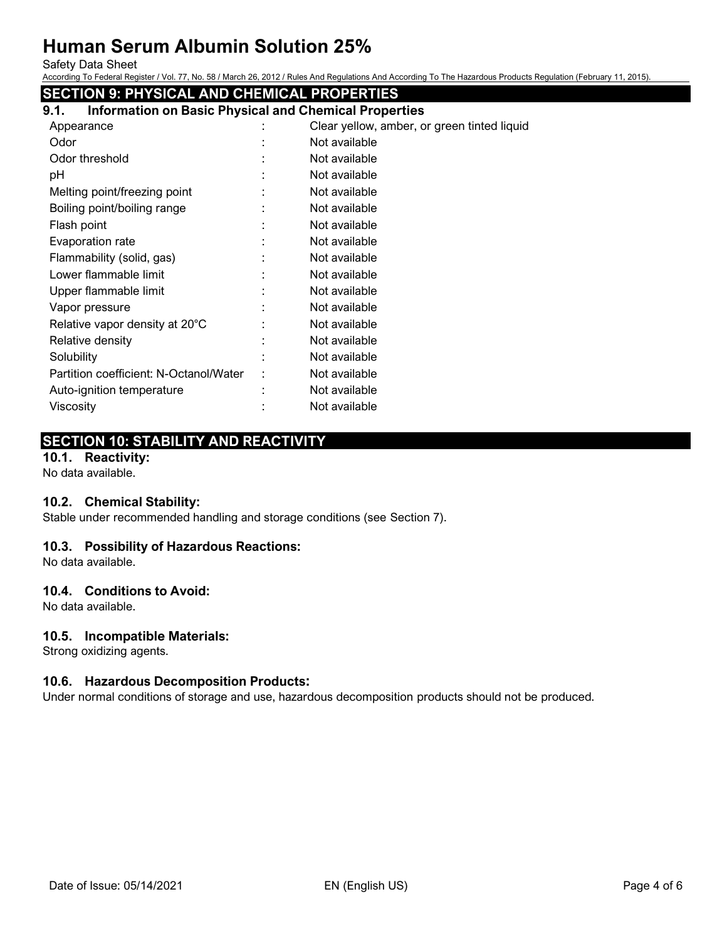Safety Data Sheet

According To Federal Register / Vol. 77, No. 58 / March 26, 2012 / Rules And Regulations And According To The Hazardous Products Regulation (February 11, 2015).

# **SECTION 9: PHYSICAL AND CHEMICAL PROPERTIES**

| 9.1. | <b>Information on Basic Physical and Chemical Properties</b> |
|------|--------------------------------------------------------------|
|      |                                                              |

| Appearance                             | Clear yellow, amber, or green tinted liquid |
|----------------------------------------|---------------------------------------------|
| Odor                                   | Not available                               |
| Odor threshold                         | Not available                               |
| рH                                     | Not available                               |
| Melting point/freezing point           | Not available                               |
| Boiling point/boiling range            | Not available                               |
| Flash point                            | Not available                               |
| Evaporation rate                       | Not available                               |
| Flammability (solid, gas)              | Not available                               |
| Lower flammable limit                  | Not available                               |
| Upper flammable limit                  | Not available                               |
| Vapor pressure                         | Not available                               |
| Relative vapor density at 20°C         | Not available                               |
| Relative density                       | Not available                               |
| Solubility                             | Not available                               |
| Partition coefficient: N-Octanol/Water | Not available                               |
| Auto-ignition temperature              | Not available                               |
| Viscosity                              | Not available                               |

# **SECTION 10: STABILITY AND REACTIVITY**

# **10.1. Reactivity:**

No data available.

# **10.2. Chemical Stability:**

Stable under recommended handling and storage conditions (see Section 7).

### **10.3. Possibility of Hazardous Reactions:**

No data available.

# **10.4. Conditions to Avoid:**

No data available.

# **10.5. Incompatible Materials:**

Strong oxidizing agents.

### **10.6. Hazardous Decomposition Products:**

Under normal conditions of storage and use, hazardous decomposition products should not be produced.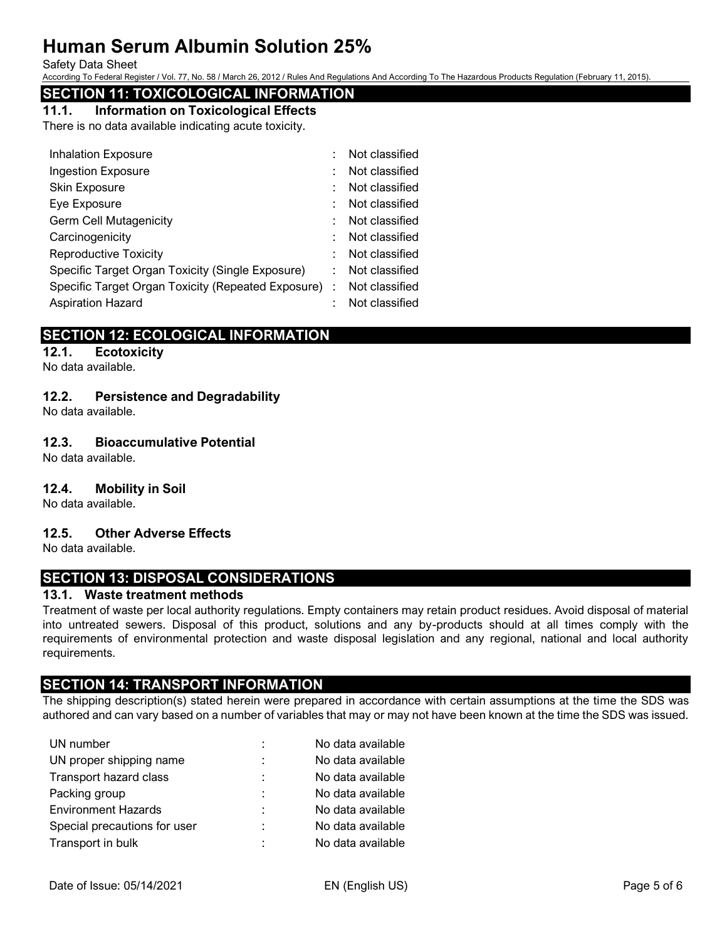#### Safety Data Sheet

According To Federal Register / Vol. 77, No. 58 / March 26, 2012 / Rules And Regulations And According To The Hazardous Products Regulation (February 11, 2015).

# **SECTION 11: TOXICOLOGICAL INFORMATION**

**11.1. Information on Toxicological Effects**

There is no data available indicating acute toxicity.

| <b>Inhalation Exposure</b>                           | Not classified |
|------------------------------------------------------|----------------|
| Ingestion Exposure                                   | Not classified |
| Skin Exposure                                        | Not classified |
| Eye Exposure                                         | Not classified |
| Germ Cell Mutagenicity                               | Not classified |
| Carcinogenicity                                      | Not classified |
| <b>Reproductive Toxicity</b>                         | Not classified |
| Specific Target Organ Toxicity (Single Exposure)     | Not classified |
| Specific Target Organ Toxicity (Repeated Exposure) : | Not classified |
| <b>Aspiration Hazard</b>                             | Not classified |

# **SECTION 12: ECOLOGICAL INFORMATION**

**12.1. Ecotoxicity**

No data available.

# **12.2. Persistence and Degradability**

No data available.

# **12.3. Bioaccumulative Potential**

No data available.

# **12.4. Mobility in Soil**

No data available.

# **12.5. Other Adverse Effects**

No data available.

# **SECTION 13: DISPOSAL CONSIDERATIONS**

### **13.1. Waste treatment methods**

Treatment of waste per local authority regulations. Empty containers may retain product residues. Avoid disposal of material into untreated sewers. Disposal of this product, solutions and any by-products should at all times comply with the requirements of environmental protection and waste disposal legislation and any regional, national and local authority requirements.

# **SECTION 14: TRANSPORT INFORMATION**

The shipping description(s) stated herein were prepared in accordance with certain assumptions at the time the SDS was authored and can vary based on a number of variables that may or may not have been known at the time the SDS was issued.

| UN number                    | ÷ | No data available |
|------------------------------|---|-------------------|
| UN proper shipping name      | ٠ | No data available |
| Transport hazard class       | t | No data available |
| Packing group                | ÷ | No data available |
| <b>Environment Hazards</b>   | ÷ | No data available |
| Special precautions for user | ٠ | No data available |
| Transport in bulk            | ٠ | No data available |
|                              |   |                   |